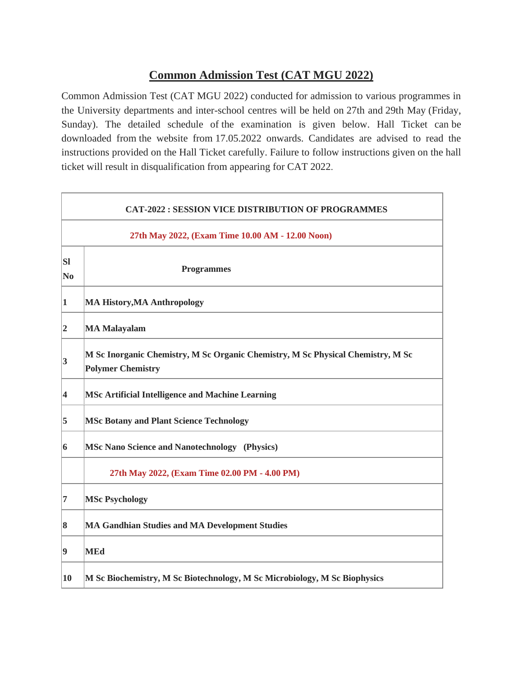## **Common Admission Test (CAT MGU 2022)**

Common Admission Test (CAT MGU 2022) conducted for admission to various programmes in the University departments and inter-school centres will be held on 27th and 29th May (Friday, Sunday). The detailed schedule of the examination is given below. Hall Ticket can be downloaded from the website from 17.05.2022 onwards. Candidates are advised to read the instructions provided on the Hall Ticket carefully. Failure to follow instructions given on the hall ticket will result in disqualification from appearing for CAT 2022.

| <b>CAT-2022 : SESSION VICE DISTRIBUTION OF PROGRAMMES</b> |                                                                                                             |  |  |
|-----------------------------------------------------------|-------------------------------------------------------------------------------------------------------------|--|--|
| 27th May 2022, (Exam Time 10.00 AM - 12.00 Noon)          |                                                                                                             |  |  |
| ISI<br>$\overline{\text{No}}$                             | <b>Programmes</b>                                                                                           |  |  |
| 1                                                         | <b>MA History, MA Anthropology</b>                                                                          |  |  |
| 2                                                         | <b>MA Malayalam</b>                                                                                         |  |  |
| 3                                                         | M Sc Inorganic Chemistry, M Sc Organic Chemistry, M Sc Physical Chemistry, M Sc<br><b>Polymer Chemistry</b> |  |  |
| 4                                                         | <b>MSc Artificial Intelligence and Machine Learning</b>                                                     |  |  |
| 5                                                         | <b>MSc Botany and Plant Science Technology</b>                                                              |  |  |
| 6                                                         | <b>MSc Nano Science and Nanotechnology (Physics)</b>                                                        |  |  |
|                                                           | 27th May 2022, (Exam Time 02.00 PM - 4.00 PM)                                                               |  |  |
| 17                                                        | <b>MSc Psychology</b>                                                                                       |  |  |
| 8                                                         | <b>MA Gandhian Studies and MA Development Studies</b>                                                       |  |  |
| 9                                                         | <b>MEd</b>                                                                                                  |  |  |
| 10                                                        | M Sc Biochemistry, M Sc Biotechnology, M Sc Microbiology, M Sc Biophysics                                   |  |  |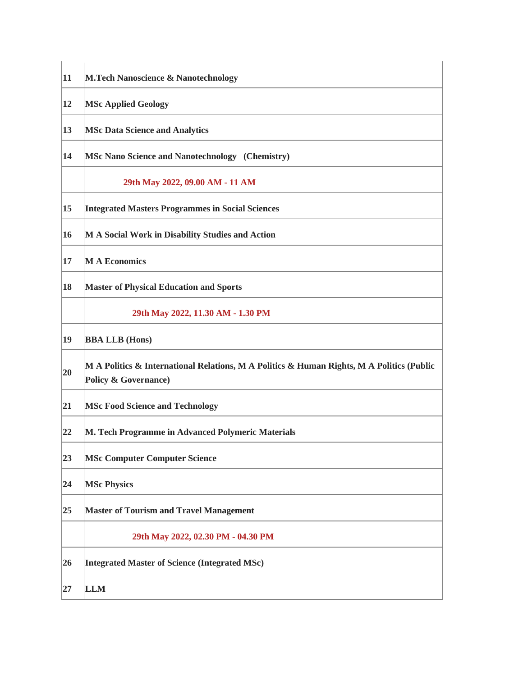| 11              | <b>M.Tech Nanoscience &amp; Nanotechnology</b>                                                                               |
|-----------------|------------------------------------------------------------------------------------------------------------------------------|
| 12              | <b>MSc Applied Geology</b>                                                                                                   |
| 13              | <b>MSc Data Science and Analytics</b>                                                                                        |
| 14              | MSc Nano Science and Nanotechnology (Chemistry)                                                                              |
|                 | 29th May 2022, 09.00 AM - 11 AM                                                                                              |
| 15              | <b>Integrated Masters Programmes in Social Sciences</b>                                                                      |
| 16              | M A Social Work in Disability Studies and Action                                                                             |
| 17              | M A Economics                                                                                                                |
| 18              | <b>Master of Physical Education and Sports</b>                                                                               |
|                 | 29th May 2022, 11.30 AM - 1.30 PM                                                                                            |
| 19              | <b>BBA LLB</b> (Hons)                                                                                                        |
| 20              | M A Politics & International Relations, M A Politics & Human Rights, M A Politics (Public<br><b>Policy &amp; Governance)</b> |
| 21              | <b>MSc Food Science and Technology</b>                                                                                       |
| 22              | M. Tech Programme in Advanced Polymeric Materials                                                                            |
| 23              | <b>MSc Computer Computer Science</b>                                                                                         |
| $\overline{24}$ | <b>MSc Physics</b>                                                                                                           |
| 25              | <b>Master of Tourism and Travel Management</b>                                                                               |
|                 | 29th May 2022, 02.30 PM - 04.30 PM                                                                                           |
| 26              | Integrated Master of Science (Integrated MSc)                                                                                |
| 27              | <b>LLM</b>                                                                                                                   |